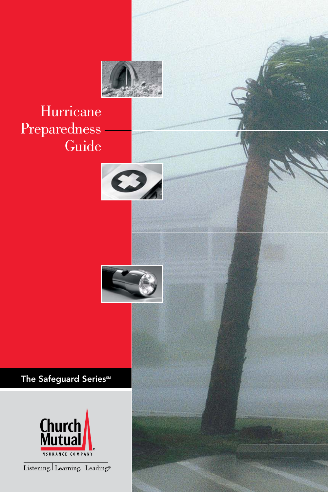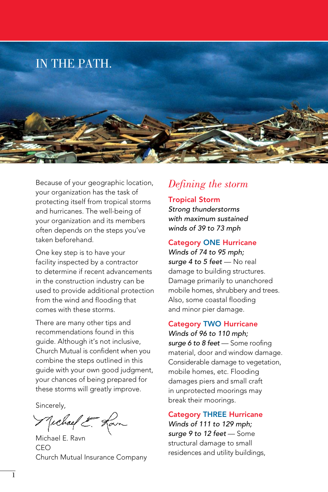

Because of your geographic location, your organization has the task of protecting itself from tropical storms and hurricanes. The well-being of your organization and its members often depends on the steps you've taken beforehand.

One key step is to have your facility inspected by a contractor to determine if recent advancements in the construction industry can be used to provide additional protection from the wind and flooding that comes with these storms.

There are many other tips and recommendations found in this guide. Although it's not inclusive, Church Mutual is confident when you combine the steps outlined in this guide with your own good judgment, your chances of being prepared for these storms will greatly improve.

Sincerely,

Michael E. Ran

Michael E. Ravn CEO Church Mutual Insurance Company

# *Defining the storm*

### Tropical Storm

*Strong thunderstorms with maximum sustained winds of 39 to 73 mph*

#### **Category ONE Hurricane**

*Winds of 74 to 95 mph;*  surge 4 to 5 feet - No real damage to building structures. Damage primarily to unanchored mobile homes, shrubbery and trees. Also, some coastal flooding and minor pier damage.

#### Category Two Hurricane *Winds of 96 to 110 mph;*

*surge 6 to 8 feet* — Some roofing material, door and window damage. Considerable damage to vegetation, mobile homes, etc. Flooding damages piers and small craft in unprotected moorings may break their moorings.

### **Category THREE Hurricane** *Winds of 111 to 129 mph; surge 9 to 12 feet* — Some

structural damage to small residences and utility buildings,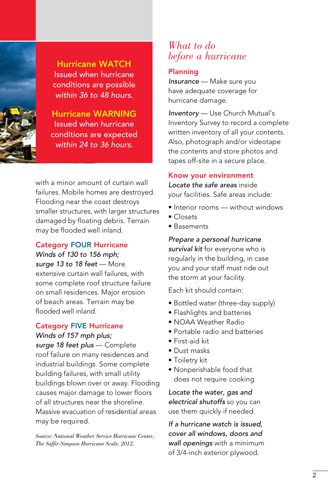

**Hurricane WATCH** Issued when hurricane conditions are possible *within 36 to 48 hours.*

**Hurricane WARNING** Issued when hurricane conditions are expected *within 24 to 36 hours.*

with a minor amount of curtain wall failures. Mobile homes are destroyed. Flooding near the coast destroys smaller structures, with larger structures damaged by floating debris. Terrain may be flooded well inland.

#### **Category FOUR Hurricane**

*Winds of 130 to 156 mph; surge 13 to 18 feet* — More extensive curtain wall failures, with some complete roof structure failure on small residences. Major erosion of beach areas. Terrain may be flooded well inland.

### **Category FIVE Hurricane**

*Winds of 157 mph plus;* 

*surge 18 feet plus* — Complete roof failure on many residences and industrial buildings. Some complete building failures, with small utility buildings blown over or away. Flooding causes major damage to lower floors of all structures near the shoreline. Massive evacuation of residential areas may be required.

*Source: National Weather Service Hurricane Center, The Saffir-Simpson Hurricane Scale, 2012.*

### *What to do before a hurricane*

### Planning

*Insurance* — Make sure you have adequate coverage for hurricane damage.

*Inventory* — Use Church Mutual's Inventory Survey to record a complete written inventory of all your contents. Also, photograph and/or videotape the contents and store photos and tapes off-site in a secure place.

### Know your environment

*Locate the safe areas* inside your facilities. Safe areas include:

- Interior rooms without windows
- Closets
- Basements

*Prepare a personal hurricane survival kit* for everyone who is regularly in the building, in case you and your staff must ride out the storm at your facility.

Each kit should contain:

- Bottled water (three-day supply)
- Flashlights and batteries
- NOAA Weather Radio
- Portable radio and batteries
- First-aid kit
- Dust masks
- Toiletry kit
- Nonperishable food that does not require cooking

*Locate the water, gas and electrical shutoffs* so you can use them quickly if needed.

*If a hurricane watch is issued, cover all windows, doors and wall openings* with a minimum of 3/4-inch exterior plywood.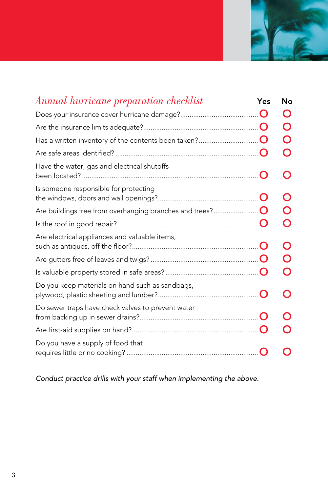

| Annual hurricane preparation checklist            | Yes      | Nο                                            |
|---------------------------------------------------|----------|-----------------------------------------------|
|                                                   |          | $\left( \begin{array}{c} \end{array} \right)$ |
|                                                   |          | $\Box$                                        |
|                                                   |          | $\mathbf C$                                   |
|                                                   |          | $\mathfrak{c}$                                |
| Have the water, gas and electrical shutoffs       |          |                                               |
| Is someone responsible for protecting             |          |                                               |
|                                                   |          |                                               |
|                                                   |          |                                               |
| Are electrical appliances and valuable items,     |          |                                               |
|                                                   |          |                                               |
|                                                   |          |                                               |
| Do you keep materials on hand such as sandbags,   |          |                                               |
| Do sewer traps have check valves to prevent water |          |                                               |
|                                                   |          |                                               |
| Do you have a supply of food that                 | $\bf{O}$ |                                               |

*Conduct practice drills with your staff when implementing the above.*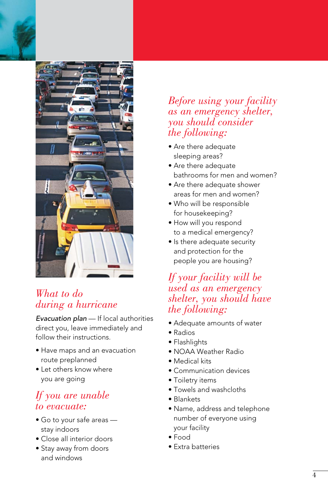



# *What to do during a hurricane*

*Evacuation plan* — If local authorities direct you, leave immediately and follow their instructions.

- Have maps and an evacuation route preplanned
- Let others know where you are going

# *If you are unable to evacuate:*

- Go to your safe areas stay indoors
- Close all interior doors
- Stay away from doors and windows

## *Before using your facility as an emergency shelter, you should consider the following:*

- Are there adequate sleeping areas?
- Are there adequate bathrooms for men and women?
- Are there adequate shower areas for men and women?
- Who will be responsible for housekeeping?
- How will you respond to a medical emergency?
- Is there adequate security and protection for the people you are housing?

# *If your facility will be used as an emergency shelter, you should have the following:*

- Adequate amounts of water
- Radios
- Flashlights
- NOAA Weather Radio
- Medical kits
- Communication devices
- Toiletry items
- Towels and washcloths
- Blankets
- Name, address and telephone number of everyone using your facility
- Food
- Extra batteries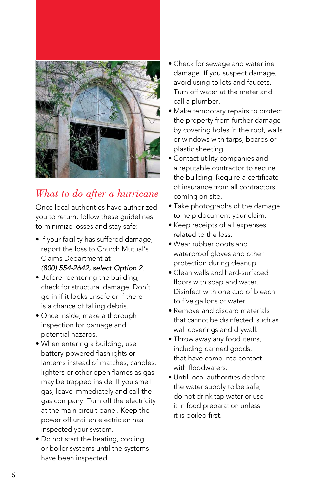

# *What to do after a hurricane*

Once local authorities have authorized you to return, follow these guidelines to minimize losses and stay safe:

- If your facility has suffered damage, report the loss to Church Mutual's Claims Department at *(800) 554-2642, select Option 2*.
- Before reentering the building, check for structural damage. Don't go in if it looks unsafe or if there is a chance of falling debris.
- Once inside, make a thorough inspection for damage and potential hazards.
- When entering a building, use battery-powered flashlights or lanterns instead of matches, candles, lighters or other open flames as gas may be trapped inside. If you smell gas, leave immediately and call the gas company. Turn off the electricity at the main circuit panel. Keep the power off until an electrician has inspected your system.
- Do not start the heating, cooling or boiler systems until the systems have been inspected.
- Check for sewage and waterline damage. If you suspect damage, avoid using toilets and faucets. Turn off water at the meter and call a plumber.
- Make temporary repairs to protect the property from further damage by covering holes in the roof, walls or windows with tarps, boards or plastic sheeting.
- Contact utility companies and a reputable contractor to secure the building. Require a certificate of insurance from all contractors coming on site.
- Take photographs of the damage to help document your claim.
- Keep receipts of all expenses related to the loss.
- Wear rubber boots and waterproof gloves and other protection during cleanup.
- Clean walls and hard-surfaced floors with soap and water. Disinfect with one cup of bleach to five gallons of water.
- Remove and discard materials that cannot be disinfected, such as wall coverings and drywall.
- Throw away any food items, including canned goods, that have come into contact with floodwaters.
- Until local authorities declare the water supply to be safe, do not drink tap water or use it in food preparation unless it is boiled first.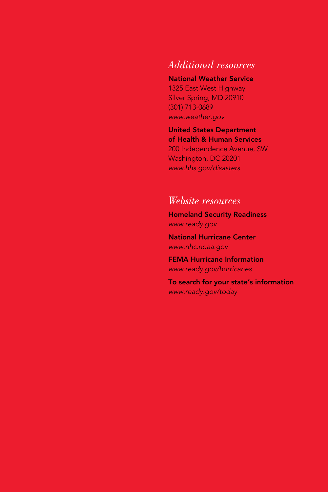# *Additional resources*

### National Weather Service

1325 East West Highway Silver Spring, MD 20910 (301) 713-0689 *www.weather.gov*

#### United States Department of Health & Human Services

200 Independence Avenue, SW Washington, DC 20201 *www.hhs.gov/disasters*

## *Website resources*

Homeland Security Readiness *www.ready.gov*

National Hurricane Center *www.nhc.noaa.gov*

FEMA Hurricane Information *www.ready.gov/hurricanes*

To search for your state's information *www.ready.gov/today*